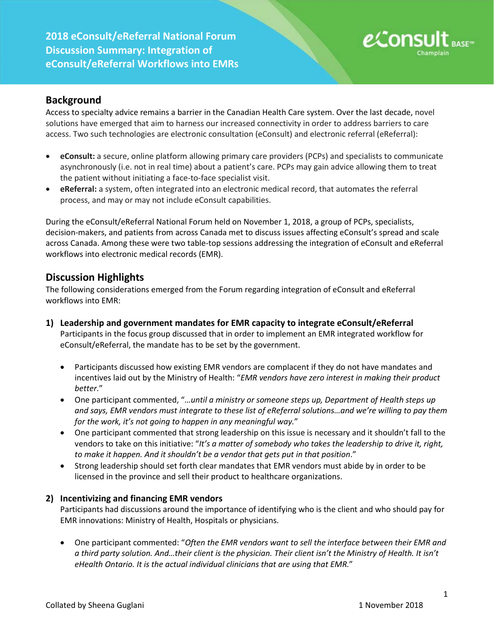**2018 eConsult/eReferral National Forum Discussion Summary: Integration of eConsult/eReferral Workflows into EMRs**



# **Background**

Access to specialty advice remains a barrier in the Canadian Health Care system. Over the last decade, novel solutions have emerged that aim to harness our increased connectivity in order to address barriers to care access. Two such technologies are electronic consultation (eConsult) and electronic referral (eReferral):

- **eConsult:** a secure, online platform allowing primary care providers (PCPs) and specialists to communicate asynchronously (i.e. not in real time) about a patient's care. PCPs may gain advice allowing them to treat the patient without initiating a face-to-face specialist visit.
- **eReferral:** a system, often integrated into an electronic medical record, that automates the referral process, and may or may not include eConsult capabilities.

During the eConsult/eReferral National Forum held on November 1, 2018, a group of PCPs, specialists, decision-makers, and patients from across Canada met to discuss issues affecting eConsult's spread and scale across Canada. Among these were two table-top sessions addressing the integration of eConsult and eReferral workflows into electronic medical records (EMR).

## **Discussion Highlights**

The following considerations emerged from the Forum regarding integration of eConsult and eReferral workflows into EMR:

- **1) Leadership and government mandates for EMR capacity to integrate eConsult/eReferral** Participants in the focus group discussed that in order to implement an EMR integrated workflow for eConsult/eReferral, the mandate has to be set by the government.
	- Participants discussed how existing EMR vendors are complacent if they do not have mandates and incentives laid out by the Ministry of Health: "*EMR vendors have zero interest in making their product better.*"
	- One participant commented, "*…until a ministry or someone steps up, Department of Health steps up and says, EMR vendors must integrate to these list of eReferral solutions…and we're willing to pay them for the work, it's not going to happen in any meaningful way.*"
	- One participant commented that strong leadership on this issue is necessary and it shouldn't fall to the vendors to take on this initiative: "*It's a matter of somebody who takes the leadership to drive it, right, to make it happen. And it shouldn't be a vendor that gets put in that position*."
	- Strong leadership should set forth clear mandates that EMR vendors must abide by in order to be licensed in the province and sell their product to healthcare organizations.

### **2) Incentivizing and financing EMR vendors**

Participants had discussions around the importance of identifying who is the client and who should pay for EMR innovations: Ministry of Health, Hospitals or physicians.

• One participant commented: "*Often the EMR vendors want to sell the interface between their EMR and a third party solution. And…their client is the physician. Their client isn't the Ministry of Health. It isn't eHealth Ontario. It is the actual individual clinicians that are using that EMR.*"